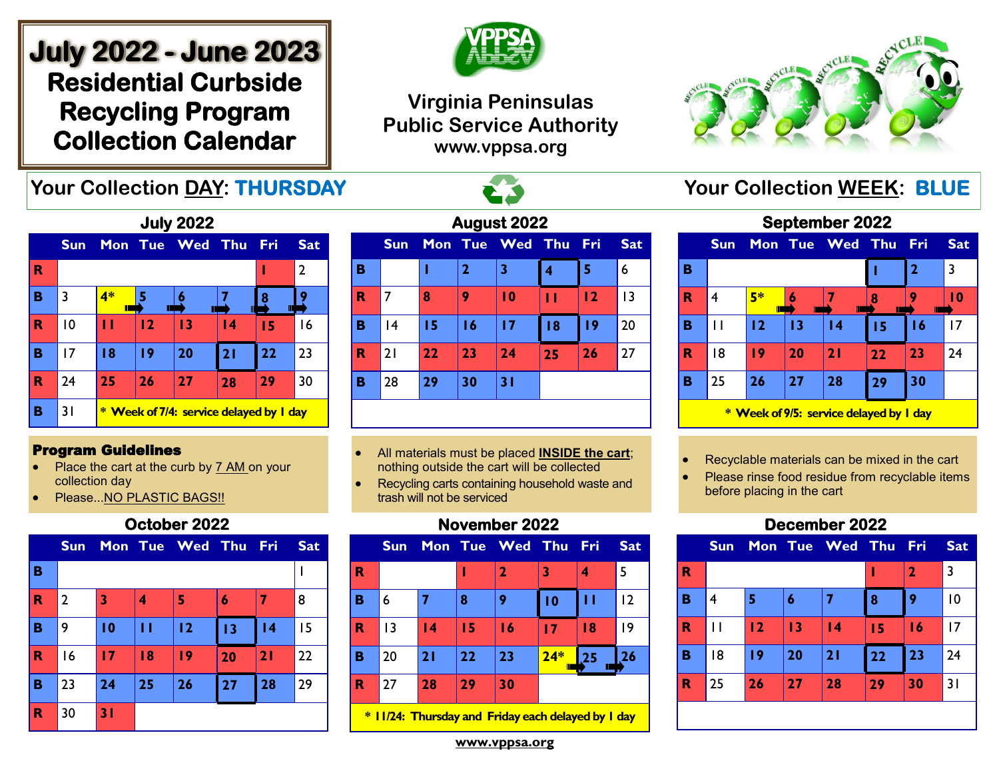# **July 2022 - June 2023 Residential Curbside Recycling Program Collection Calendar**



## **Virginia Peninsulas Public Service Authority www.vppsa.org**



## **Your Collection DAY: THURSDAY And All Acts of Service Collection WEEK: BLUE**

| <b>July 2022</b> |                                                    |    |    |             |                 |     |                |  |
|------------------|----------------------------------------------------|----|----|-------------|-----------------|-----|----------------|--|
|                  | <b>Sun</b>                                         |    |    | Mon Tue Wed | Thu             | Fri | <b>Sat</b>     |  |
| R                |                                                    |    |    |             |                 |     | $\overline{2}$ |  |
| в                | 3                                                  | 4* | 5  |             |                 | 8   |                |  |
| R                | 10                                                 | п  | 12 | 13          | $\overline{14}$ | 15  | 16             |  |
| в                | 17                                                 | 18 | 19 | 20          | 21              | 22  | 23             |  |
| R                | 24                                                 | 25 | 26 | 27          | 28              | 29  | 30             |  |
| в                | 31<br><b>Week of 7/4: service delayed by I day</b> |    |    |             |                 |     |                |  |

#### Program Guidelines

- Place the cart at the curb by 7 AM on your collection day
- Please...NO PLASTIC BAGS!!

### **October 2022**

|             | <b>Sun</b>     |    |    | Mon Tue Wed Thu Fri |    |                 | <b>Sat</b> |
|-------------|----------------|----|----|---------------------|----|-----------------|------------|
| B           |                |    |    |                     |    |                 |            |
| $\mathbf R$ | $\overline{2}$ | 3  | 4  | 5                   | 6  |                 | 8          |
| в           | 9              | 10 | П  | 12                  | 13 | $\overline{14}$ | 15         |
| $\mathbf R$ | 16             | 17 | 18 | 19                  | 20 | 21              | 22         |
| B           | 23             | 24 | 25 | 26                  | 27 | 28              | 29         |
| $\mathbf R$ | 30             | 31 |    |                     |    |                 |            |

| August 2022 |            |    |                |                 |    |            |            |  |  |  |
|-------------|------------|----|----------------|-----------------|----|------------|------------|--|--|--|
|             | <b>Sun</b> |    |                | Mon Tue Wed Thu |    | <b>Fri</b> | <b>Sat</b> |  |  |  |
| в           |            | ı  | $\overline{2}$ | 3               | 4  | 5          | 6          |  |  |  |
| R           | 7          | 8  | 9              | $\overline{10}$ | п  | 12         | 13         |  |  |  |
| в           | 4          | 15 | 16             | 17              | 18 | 19         | 20         |  |  |  |
| R           | 21         | 22 | 23             | 24              | 25 | 26         | 27         |  |  |  |
| в           | 28         | 29 | 30             | 31              |    |            |            |  |  |  |
|             |            |    |                |                 |    |            |            |  |  |  |

- All materials must be placed **INSIDE the cart**; nothing outside the cart will be collected
- Recycling carts containing household waste and trash will not be serviced

## **November 2022**

|   | <b>Sun</b>                                         |                 |    | Mon Tue Wed Thu Fri |       |    | <b>Sat</b> |  |  |  |
|---|----------------------------------------------------|-----------------|----|---------------------|-------|----|------------|--|--|--|
| R |                                                    |                 |    | $\mathbf 2$         | 3     | 4  | 5          |  |  |  |
| B | 6                                                  |                 | 8  | 9                   | 10    | п  | 12         |  |  |  |
| R | 3                                                  | $\overline{14}$ | 15 | $\overline{16}$     | 17    | 18 | 19         |  |  |  |
| B | 20                                                 | 21              | 22 | 23                  | $24*$ | 25 | 26         |  |  |  |
| R | 27                                                 | 28              | 29 | 30                  |       |    |            |  |  |  |
|   | * 11/24: Thursday and Friday each delayed by 1 day |                 |    |                     |       |    |            |  |  |  |

**September 2022 Sun Mon Tue Wed Thu Fri Sat B**  $\vert$  1  $\vert$  2  $\vert$  3 **R** 4 **5\* 6 7 8 9 10 B** 11 **12 13 14 15 16** 17 **R** 18 **19 20 21 22 23** 24 **B** 25 **26 27 28 29 30 \* Week of 9/5: service delayed by 1 day** 

- Recyclable materials can be mixed in the cart
- Please rinse food residue from recyclable items before placing in the cart

## **December 2022**



**www.vppsa.org**